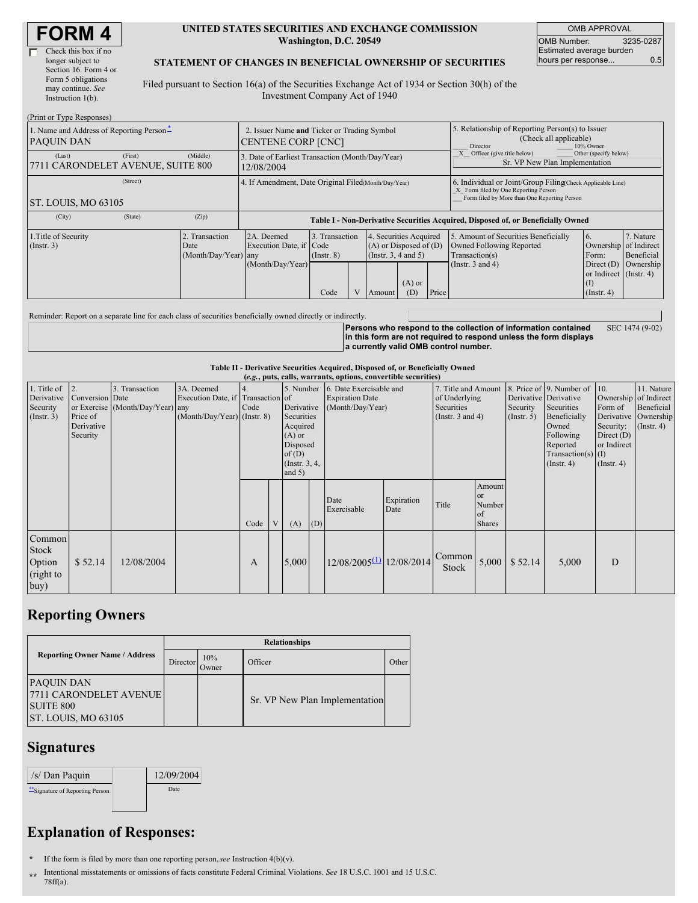| <b>FORM4</b> |  |
|--------------|--|
|--------------|--|

| Check this box if no  |
|-----------------------|
| longer subject to     |
| Section 16. Form 4 or |
| Form 5 obligations    |
| may continue. See     |
| Instruction $1(b)$ .  |
|                       |

#### **UNITED STATES SECURITIES AND EXCHANGE COMMISSION Washington, D.C. 20549**

OMB APPROVAL OMB Number: 3235-0287 Estimated average burden hours per response... 0.5

#### **STATEMENT OF CHANGES IN BENEFICIAL OWNERSHIP OF SECURITIES**

Filed pursuant to Section 16(a) of the Securities Exchange Act of 1934 or Section 30(h) of the Investment Company Act of 1940

| (Print or Type Responses)                                     |         |                                               |                                                                                                                                                         |      |  |                                                                                    |                                      |                         |                                                                                                                                                    |                                                                            |           |  |
|---------------------------------------------------------------|---------|-----------------------------------------------|---------------------------------------------------------------------------------------------------------------------------------------------------------|------|--|------------------------------------------------------------------------------------|--------------------------------------|-------------------------|----------------------------------------------------------------------------------------------------------------------------------------------------|----------------------------------------------------------------------------|-----------|--|
| 1. Name and Address of Reporting Person-<br><b>PAQUIN DAN</b> |         |                                               | 2. Issuer Name and Ticker or Trading Symbol<br><b>CENTENE CORP [CNC]</b>                                                                                |      |  |                                                                                    |                                      |                         | 5. Relationship of Reporting Person(s) to Issuer<br>(Check all applicable)<br>10% Owner<br>Director                                                |                                                                            |           |  |
| (Last)<br>7711 CARONDELET AVENUE, SUITE 800                   | (First) | (Middle)                                      | 3. Date of Earliest Transaction (Month/Day/Year)<br>12/08/2004                                                                                          |      |  |                                                                                    |                                      |                         | Other (specify below)<br>Officer (give title below)<br>Sr. VP New Plan Implementation                                                              |                                                                            |           |  |
| (Street)<br>ST. LOUIS, MO 63105                               |         |                                               | 4. If Amendment, Date Original Filed Month/Day/Year)                                                                                                    |      |  |                                                                                    |                                      |                         | 6. Individual or Joint/Group Filing Check Applicable Line)<br>X Form filed by One Reporting Person<br>Form filed by More than One Reporting Person |                                                                            |           |  |
|                                                               |         |                                               |                                                                                                                                                         |      |  |                                                                                    |                                      |                         |                                                                                                                                                    |                                                                            |           |  |
| (City)                                                        | (State) | (Zip)                                         | Table I - Non-Derivative Securities Acquired, Disposed of, or Beneficially Owned                                                                        |      |  |                                                                                    |                                      |                         |                                                                                                                                                    |                                                                            |           |  |
| 1. Title of Security<br>(Insert. 3)                           |         | . Transaction<br>Date<br>(Month/Day/Year) any | 2A. Deemed<br>3. Transaction<br>Securities Acquired<br>Execution Date, if Code<br>$(A)$ or Disposed of $(D)$<br>(Insert. 3, 4 and 5)<br>$($ Instr. $8)$ |      |  | 5. Amount of Securities Beneficially<br>Owned Following Reported<br>Transaction(s) | 6.<br>Ownership of Indirect<br>Form: | 7. Nature<br>Beneficial |                                                                                                                                                    |                                                                            |           |  |
|                                                               |         |                                               | (Month/Day/Year)                                                                                                                                        | Code |  | Amount                                                                             | $(A)$ or<br>(D)                      | Price                   | (Instr. $3$ and $4$ )                                                                                                                              | Direct $(D)$<br>or Indirect (Instr. 4)<br>$(\text{I})$<br>$($ Instr. 4 $)$ | Ownership |  |

Reminder: Report on a separate line for each class of securities beneficially owned directly or indirectly.

**Persons who respond to the collection of information contained in this form are not required to respond unless the form displays a currently valid OMB control number.** SEC 1474 (9-02)

**Table II - Derivative Securities Acquired, Disposed of, or Beneficially Owned**

|                                                      | (e.g., puts, calls, warrants, options, convertible securities)  |                                                    |                                                                                  |      |  |                                                                                                                    |     |                                                                       |                    |                                                                             |                                                      |                                                  |                                                                                                                                      |                                                                                                         |                                                                      |
|------------------------------------------------------|-----------------------------------------------------------------|----------------------------------------------------|----------------------------------------------------------------------------------|------|--|--------------------------------------------------------------------------------------------------------------------|-----|-----------------------------------------------------------------------|--------------------|-----------------------------------------------------------------------------|------------------------------------------------------|--------------------------------------------------|--------------------------------------------------------------------------------------------------------------------------------------|---------------------------------------------------------------------------------------------------------|----------------------------------------------------------------------|
| 1. Title of<br>Derivative<br>Security<br>(Insert. 3) | $ 2$ .<br>Conversion Date<br>Price of<br>Derivative<br>Security | 3. Transaction<br>or Exercise (Month/Day/Year) any | 3A. Deemed<br>Execution Date, if Transaction of<br>$(Month/Day/Year)$ (Instr. 8) | Code |  | 5. Number<br>Derivative<br>Securities<br>Acquired<br>$(A)$ or<br>Disposed<br>of(D)<br>(Insert. 3, 4, )<br>and $5)$ |     | 6. Date Exercisable and<br><b>Expiration Date</b><br>(Month/Day/Year) |                    | 7. Title and Amount<br>of Underlying<br>Securities<br>(Instr. $3$ and $4$ ) |                                                      | Derivative Derivative<br>Security<br>(Insert. 5) | 8. Price of 9. Number of<br>Securities<br>Beneficially<br>Owned<br>Following<br>Reported<br>Transaction(s) $(I)$<br>$($ Instr. 4 $)$ | 10.<br>Ownership of Indirect<br>Form of<br>Security:<br>Direct $(D)$<br>or Indirect<br>$($ Instr. 4 $)$ | 11. Nature<br>Beneficial<br>Derivative Ownership<br>$($ Instr. 4 $)$ |
|                                                      |                                                                 |                                                    |                                                                                  | Code |  | (A)                                                                                                                | (D) | Date<br>Exercisable                                                   | Expiration<br>Date | Title                                                                       | Amount<br><b>or</b><br>Number<br>of<br><b>Shares</b> |                                                  |                                                                                                                                      |                                                                                                         |                                                                      |
| Common<br>Stock<br>Option<br>(right to<br>buy)       | \$52.14                                                         | 12/08/2004                                         |                                                                                  | A    |  | 5.000                                                                                                              |     | $12/08/2005^{(1)}$ 12/08/2014                                         |                    | Common<br>Stock                                                             |                                                      | $5,000$ \ \$ 52.14                               | 5,000                                                                                                                                | D                                                                                                       |                                                                      |

## **Reporting Owners**

|                                                                                               | <b>Relationships</b> |              |                                |       |  |  |  |  |  |
|-----------------------------------------------------------------------------------------------|----------------------|--------------|--------------------------------|-------|--|--|--|--|--|
| <b>Reporting Owner Name / Address</b>                                                         | Director             | 10%<br>Owner | Officer                        | Other |  |  |  |  |  |
| <b>PAQUIN DAN</b><br><b>7711 CARONDELET AVENUE</b><br><b>SUITE 800</b><br>ST. LOUIS, MO 63105 |                      |              | Sr. VP New Plan Implementation |       |  |  |  |  |  |

### **Signatures**

| /s/ Dan Paquin                   | 12/09/2004 |
|----------------------------------|------------|
| "Signature of Reporting Person I | Date       |
|                                  |            |

# **Explanation of Responses:**

**\*** If the form is filed by more than one reporting person,*see* Instruction 4(b)(v).

**\*\*** Intentional misstatements or omissions of facts constitute Federal Criminal Violations. *See* 18 U.S.C. 1001 and 15 U.S.C. 78ff(a).